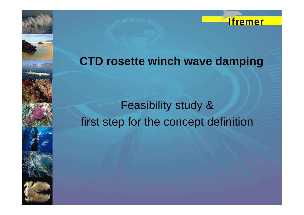

## **CTD tt i h d i CTD rosette winc h wave damping**

# Feasibility study & first step for the concept definition

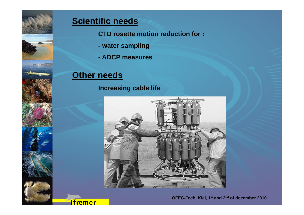

### **Scientific needs**

**CTD rosette motion reduction for : :**

- **- water sampling**
- **- ADCP measures**

### **Other needs**

#### **Increasing cable life**



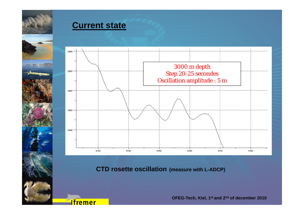

#### **Current state**

**Ifremer** 



**CTD rosette oscillation (measure with L-ADCP)** 

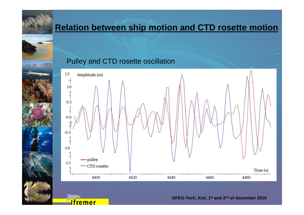

### **Relation between ship motion and CTD rosette motion**

#### Pulley and CTD rosette oscillation

**Ifremer** 

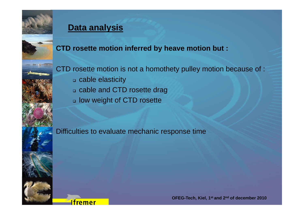

### **Data analysis**

**CTD rosette motion inferred by heave motion but :** 

CTD rosette motion is not a homothety pulley motion because of :

cable elasticity

**Ifremer** 

- cable and CTD rosette drag
- low weight of CTD rosette

Difficulties to evaluate mechanic response time

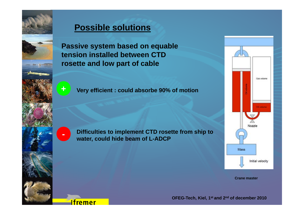

**Passive system based on equable tension installed between CTD rosette and low part of cable** 



**-**

**Ifremer** 

**Very efficient : could absorbe 90% of motion** 

**Difficulties to implement CTD rosette from ship to ship water, could hide beam of L-ADCP** 



**Crane master**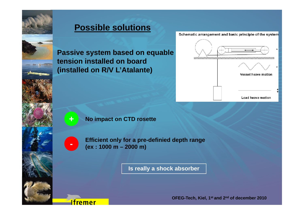

Schematic arrangement and basic principle of the system

**Passive system based on equable tensi i ll d b d ion installed on board (installed on R/V L'Atalante)** 



**+**

#### **No impact on CTD rosette**

**Ifremer** 

**Efficient only for a pre-definied depth range (ex : 1000 m – 2000 m)** 

**Is really a shock absorber**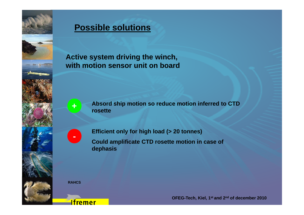

**Active system driving the winch, the with motion sensor unit on board**



**Absord ship motion so reduce motion inferred to CTD rosette** 



**Efficient only for high load (> 20 tonnes) load Could amplificate CTD rosette motion in case of dephasis**

**RAHCS**

**Ifremer**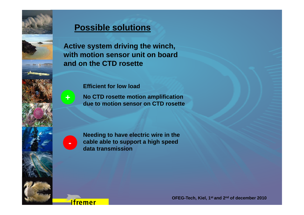

**Active system driving the winch, with motion sensor unit on board and on the CTD rosette**

#### **Efficient for low load**

**No CTD rosette motion amplification due to motion sensor on CTD rosette** 



**Ifremer** 

**+**

**Needing to have electric wire in the cable able to support a high speed data transmission**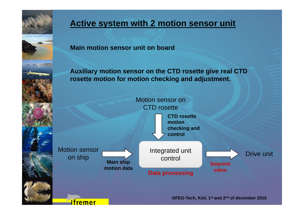

**Ifremer** 

### **Active system with 2 motion sensor unit**

**Main motion sensor unit on board** 

**Auxiliary motion sensor on the CTD rosette give real CTD rosette motion for motion checking and adjustment.** 

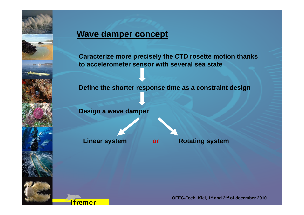

#### **Wave damper concept**

**Caracterize more precisely the CTD rosette motion thanks to accelerometer sensor with several sea state**

#### **Define the shorter response time as a constraint design**

**Design a wave damper** 

**Ifremer** 

**Linear system or Rotating system**